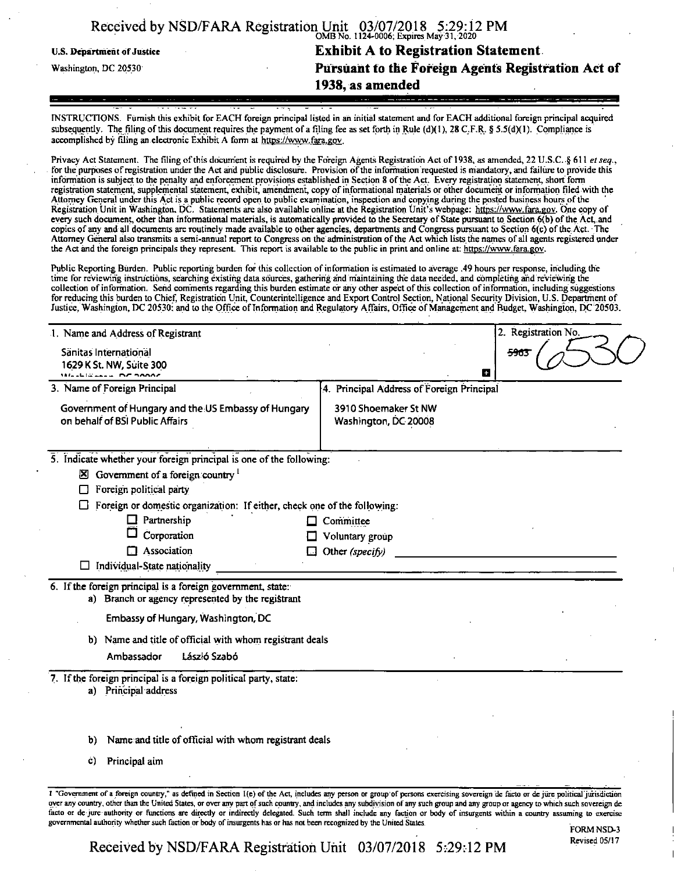|                            | Received by NSD/FARA Registration Unit 03/07/2018 5:29:12 PM |
|----------------------------|--------------------------------------------------------------|
| U.S. Department of Justice | <b>Exhibit A to Registration Statement.</b>                  |
| Washington, DC 20530       | Pursuant to the Foreign Agents Registration Act of           |
|                            | 1938, as amended                                             |
|                            |                                                              |

INSTRUCTIONS. Furnish this exhibit for EACH foreign principal listed in an initial statement and for EACH additional foreign principal acquired subsequently. The filing of this document requires the payment of a filing fee as set forth in Rule (d)(1), 28 C.F.R. § 5.5(d)(1). Compliance is accomplished by filing an electronic Exhibit A form at https://www.fara.gov.

Privacy Act Statement. The filing of this document is required by the Foreign Agents Registration Act of 1938, as amended, 22 U.S.C. § 611 *et seq.*, for the purposes of registration under the Act and public disclosure. Provision of the information requested is mandatory, and failure to provide this information is subject to the penalty and enforcement provisions established in Section 8 ofthe Act. Every registration statement, short form registration statement, supplemental statement, exhibit, amendment, copy ofinformational materials or other document or information filed with the Attorney General under this Act is a public record open to public examination, inspection and copying during the posted business hours ofthe Registration Unit in Washington. DC. Statements are also available online at the Registration Unit's webpage: https://www.fara.gov. One copy of every such document, other than informational materials, is automatically provided to the Secretary of State pursuant to Section 6(b) of the Act, and copies of any and all documents are routinely made available to other agencies, departments and Congress pursuant to Section 6(c) ofthe Act. The Attorney General also transmits a semi-annual report to Congress on the administration of the Act which lists the names of all agents registered under the Act and the foreign principals they represent. This report is available to the public in print and online at: https://www.fara.gov.

Public Reporting Burden. Public reporting burden for this collection ofinformation is estimated to average .49 hours per response, including the time for reviewing instructions, searching existing data sources, gathering and maintaining the data needed, and completing and reviewing the collection of information. Send comments regarding this burden estimate or any other aspect of this collection of information, including suggestions for reducing this burden to Chief, Registration Unit, Counterintelligence and Export Control Section, National Security Division, U.S. Department of

| 1. Name and Address of Registrant                                                                                | 2. Registration No.                          |
|------------------------------------------------------------------------------------------------------------------|----------------------------------------------|
| Sänitas International<br>1629 K St. NW, Suite 300<br>Maculianus DC 2000C                                         | 5963<br>Œ                                    |
| 3. Name of Foreign Principal                                                                                     | 4. Principal Address of Foreign Principal    |
| Government of Hungary and the US Embassy of Hungary<br>on behalf of BSI Public Affairs                           | 3910 Shoemaker St NW<br>Washington, DC 20008 |
| 5. Indicate whether your foreign principal is one of the following:                                              |                                              |
| $\boxtimes$ Government of a foreign country $\frac{1}{1}$                                                        |                                              |
| Foreign political party<br>□                                                                                     |                                              |
| Foreign or domestic organization: If either, check one of the following:                                         |                                              |
| Partnership<br>ப                                                                                                 | Committee                                    |
| Corporation                                                                                                      | Voluntary group                              |
| $\Box$ Association<br>U                                                                                          | Other (specify)                              |
| Individual-State nationality<br>ப                                                                                |                                              |
| 6. If the foreign principal is a foreign government, state:<br>a) Branch or agency represented by the registrant |                                              |
| Embassy of Hungary, Washington, DC                                                                               |                                              |
| b) Name and title of official with whom registrant deals                                                         |                                              |
| Ambassagor<br>László Szabó                                                                                       |                                              |
| 7. If the foreign principal is a foreign political party, state:<br>a) Principal address                         |                                              |
|                                                                                                                  |                                              |
| Name and title of official with whom registrant deals<br>b)                                                      |                                              |
| Principal aim<br>Ċ)                                                                                              |                                              |
|                                                                                                                  |                                              |

over any country, other than the United States, or over any part of such country, and includes any subdivision of any such group and any group or agency to which such sovereign de facto or de jure authority or functions are directly or indirectly delegated. Such term shall include any faction or body of insurgents within a country assuming to exercise governmental authority whether such faction or body of insurgents has or has not been recognized by the United States.

Received by NSD/FARA Registration Unit 03/07/2018 5:29:12 PM Revised 05/17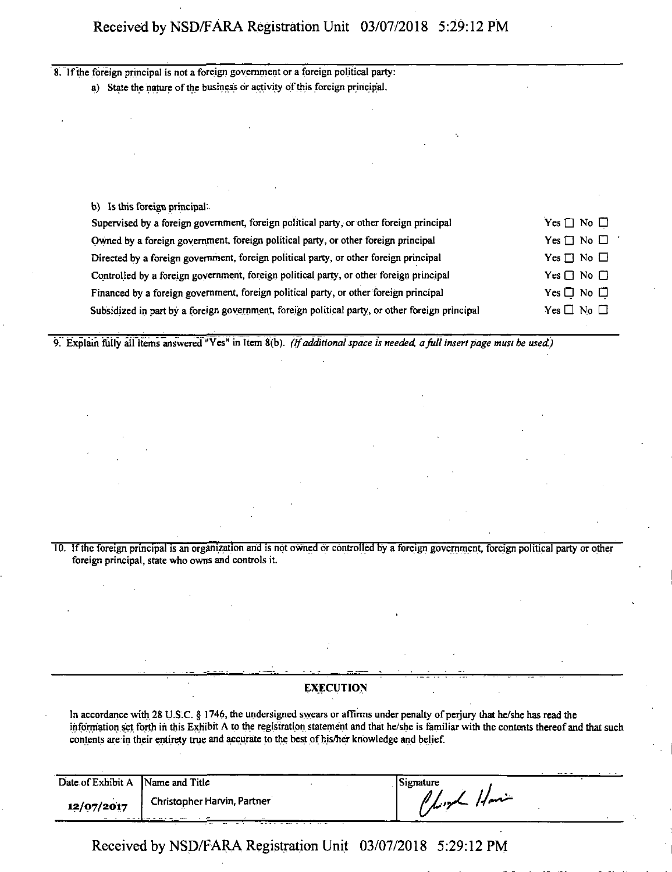## Received by NSD/FARA Registration Unit 03/07/2018 5:29:12 PM

8. If the foreign principal is not a foreign government or a foreign political party: a) State the nature of the business or activity of this foreign principal.

b) Isthis foreign principal:

| Supervised by a foreign government, foreign political party, or other foreign principal         | $Yes \Box No \Box$   |
|-------------------------------------------------------------------------------------------------|----------------------|
| Owned by a foreign government, foreign political party, or other foreign principal              | $Yes \Box No \Box$   |
| Directed by a foreign government, foreign political party, or other foreign principal           | Yes $\Box$ No $\Box$ |
| Controlled by a foreign government, foreign political party, or other foreign principal         | Yes $\Box$ No $\Box$ |
| Financed by a foreign government, foreign political party, or other foreign principal           | Yes $\Box$ No $\Box$ |
| Subsidized in part by a foreign government, foreign political party, or other foreign principal | $Yes \Box No \Box$   |
|                                                                                                 |                      |

9. Explain fiiily all items answered "Yes" in Item 8(b). *(Ifadditionalspace is needed, afull insert page must be used.)*

10. Ifthe foreign principal is an organization and is not owned or controlled by a foreign government, foreign political party or other foreign principal, state who owns and controls it.

## **EXECUTION**

In accordance with 28 U.S.C. § 1746, the undersigned swears or affirms under penalty of perjury that he/she has read the information set forth in this Exhibit A to the registration statement and that he/she is familiar with the contents thereofand that such contents are in their entirety true and accurate to the best of his/her knowledge and belief.

| Date of Exhibit A Name and Title |                             | Signature   |  |
|----------------------------------|-----------------------------|-------------|--|
| 12/07/2017                       | Christopher Harvin, Partner | Player Have |  |

Received by NSD/FARA Registration Unit 03/07/2018 5:29:12 PM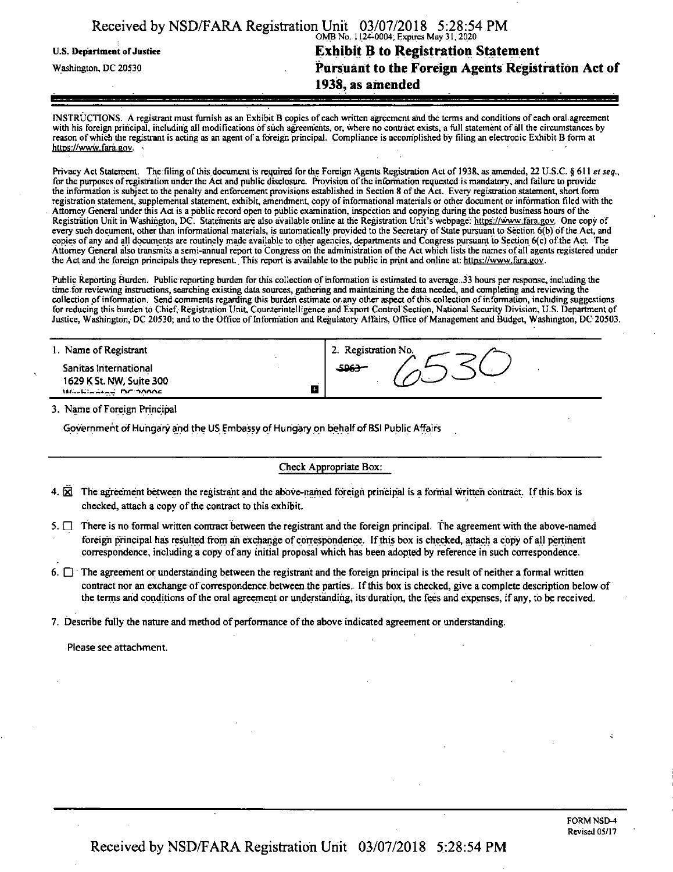|                            | Received by NSD/FARA Registration Unit 03/07/2018 5:28:54 PM |
|----------------------------|--------------------------------------------------------------|
|                            | OMB No. 1124-0004; Expires May 31, 2020                      |
| U.S. Department of Justice | <b>Exhibit B to Registration Statement</b>                   |
| Washington, DC 20530       | Pursuant to the Foreign Agents Registration Act of           |
|                            | 1938, as amended                                             |
|                            |                                                              |

INSTRUCTIONS. A registrant must furnish as an Exhibit B copies of each written agreement and the terms and conditions of each oral agreement with his foreign principal, including all modifications of such agreements, or, where no contract exists, a full statement of all the circumstances by reason of which the registrant is acting as an agent of a foreign principal. Compliance is accomplished by filing an electronic Exhibit B form at https://www.fara.gov.

Privacy Act Statement. The filing of this document is required for the Foreign Agents Registration Act of 1938, as amended, 22 U.S.C. § 611 *et seq.*, for the purposes of registration under the Act and public disclosure. Provision of the information requested is mandatory, and failure to provide the information is subject to the penalty and enforcement provisions established in Section 8 ofthe Act. Every registration statement, short form registration statement, supplemental statement, exhibit, amendment, copy ofinformational materials or other document or information filed with the Attorney General under this Act is a public record open to public examination, inspection and copying during the posted business hours ofthe Registration Unit in Washington, DC. Statements are also available online at the Registration Unit's webpage: https://www.fara.gov. One copy of every such document, other than informational materials, is automatically provided to the Secretary of State pursuant to Section 6(b) of the Act, and copies of any and all documents are routinely made available to other agencies, departments and Congress pursuant to Section 6(c) ofthe Act. The Attorney General also transmits a semi-annual report to Congress on the administration of the Act which lists the names of all agents registered under the Act and the foreign principals they represent. This report is available to the public in print and online at: https://www.fara.gov.

Public Reporting Burden. Public reporting burden for this collection of information is estimated to average .33 hours per response, including the time for reviewing instructions, searching existing data sources, gathering and maintaining the data needed, and completing and reviewing the collection of information. Send comments regarding this burden estimate or any other aspect of this collection of information, including suggestions for reducing this burden to Chief, Registration Unit. Counterintelligence and Export Control'Section, National Security Division, U.S. Department of Justice, Washington, DC 20530; and to the Office of Information and Regulatory Affairs, Office of Management and Budget, Washington, DC 20503.

| 1. Name of Registrant                                                                                 | 2. Registration No. |
|-------------------------------------------------------------------------------------------------------|---------------------|
| Sanitas International<br>1629 K St. NW, Suite 300<br>H.<br>Warkington DC SOOR<br>$\sim$ $\sim$ $\sim$ | -5963-              |

3. Name of Foreign Principal

Government of Hungary and the US Embassy of Hungary on behalf of BSI Public Affairs

Check Appropriate Box:

- 4.  $\overline{2}$  The agreement between the registrant and the above-named foreign principal is a formal written contract. If this box is checked, attach a copy of the contract to this exhibit.
- $5.$  There is no formal written contract between the registrant and the foreign principal. The agreement with the above-named foreign principal has resulted from an exchange of correspondence. If this box is checked, attach a copy of all pertinent correspondence, including a copy of any initial proposal which has been adopted by reference in such correspondence.
- 6.  $\Box$  The agreement or understanding between the registrant and the foreign principal is the result of neither a formal written contract nor an exchange of correspondence between the parties. If this box is checked, give a complete description below of the terms and conditions ofthe oral agreement or understanding, its duration, the fees and expenses, if any, to be received.

7. Describe fully the nature and method of performance of the above indicated agreement or understanding.

Please see attachment.

Received by NSD/FARA Registration Unit 03/07/2018 5:28:54 PM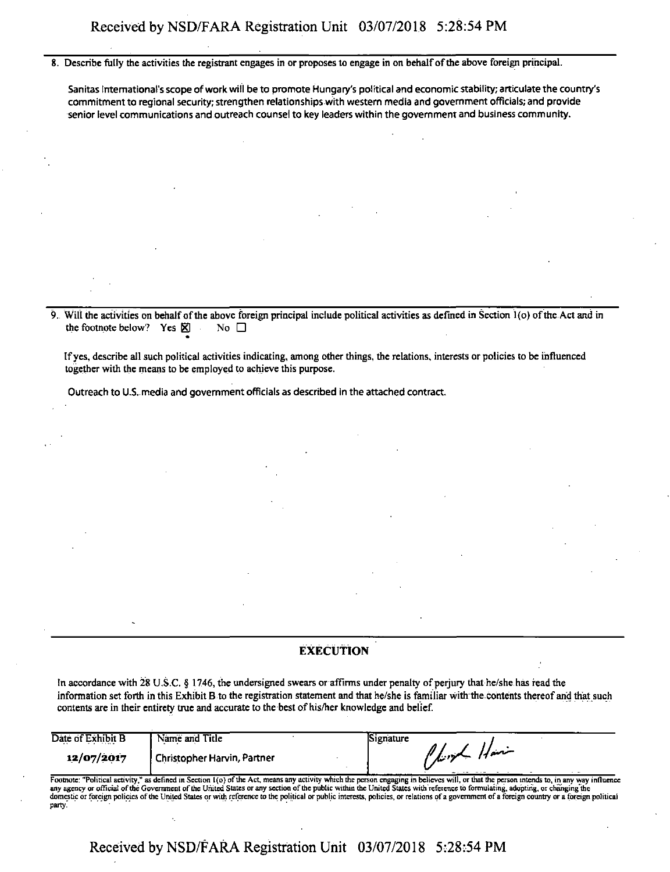8. Describe fully the activities the registrant engages in or proposes to engage in on behalf of the above foreign principal.

Sanitas International'sscope ofwork will be to promote Hungary's political and economic stability; articulate the country's commitment to regional security;strengthen relationships with western media and government officials; and provide senior level communications and outreach counsel to key leaders within the government and business community.

9. Will the activities on behalfofthe above foreign principal include political activities as defined in Section l(o) ofthe Act and in the footnote below? Yes  $\boxtimes$  No  $\square$ 

Ifyes, describe all such political activities indicating, among other things, the relations, interests or policies to be influenced together with the means to be employed to achieve this purpose.

Outreach to U.S. media and government officials as described in the attached contract.

## **EXECUTION**

In accordance with 28 U.S.C. § 1746, the undersigned swears or affirms under penalty of perjury that he/she has read the information set forth in this Exhibit B to the registration statement and that he/she is familiar with the contents thereofand that such contents are in their entirety true and accurate to the best of his/her knowledge and belief.

| Date of Exhibit B | Name and Title                                                                                                                                                                            | Signature |                                                                |  |
|-------------------|-------------------------------------------------------------------------------------------------------------------------------------------------------------------------------------------|-----------|----------------------------------------------------------------|--|
| 12/07/2017        | Christopher Harvin, Partner                                                                                                                                                               |           | $\frac{1}{\sqrt{2}}$ $\frac{1}{2}$ $\frac{1}{2}$ $\frac{1}{2}$ |  |
|                   |                                                                                                                                                                                           |           |                                                                |  |
|                   | Footnote: "Political activity," as defined in Section 1(o) of the Act, means any activity which the person engaging in believes will, or that the person intends to, in any way influence |           |                                                                |  |

Footnote: "Political activity," as defined in Section 1(o) of the Act, means any activity which the person engaging in believes will, or that the person intends to, in any way influence<br>any agency or official of the Govern domestic or foreign policies of the United States or with reference to the political or public interests, policies, or relations of a government of a foreign country or a foreign political party.

Received by NSD/FARA Registration Unit 03/07/2018 5:28:54 PM